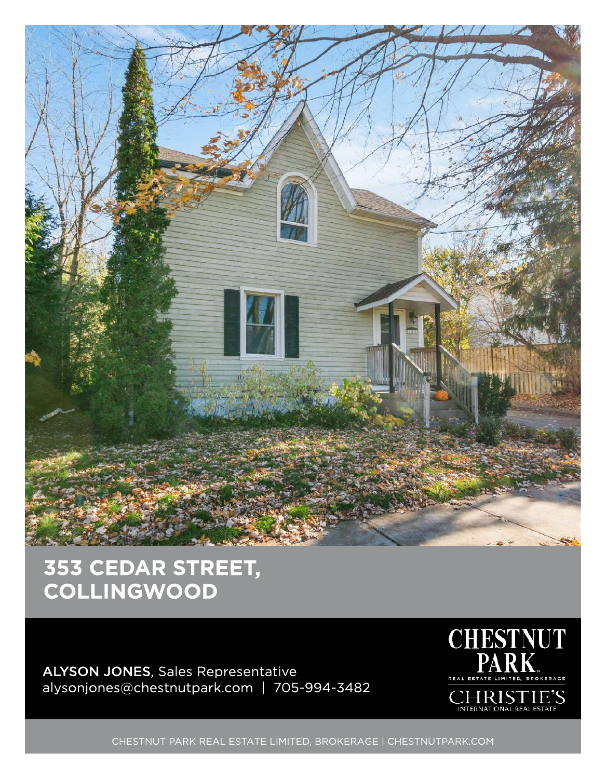

## 353 CEDAR STREET, COLLINGWOOD

ALYSON JONES, Sales Representative alysonjones@chestnutpark.com | 705-994-3482



CHESTNUT PARK REAL ESTATE LIMITED, BROKERAGE | CHESTNUTPARK.COM